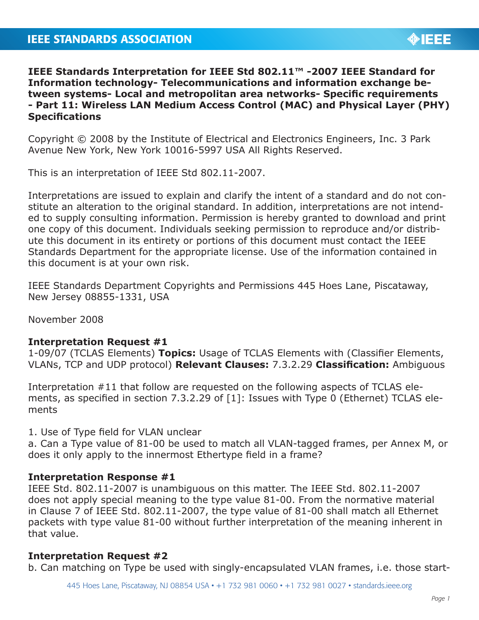# **IEEE Standards Interpretation for IEEE Std 802.11™ -2007 IEEE Standard for Information technology- Telecommunications and information exchange between systems- Local and metropolitan area networks- Specific requirements - Part 11: Wireless LAN Medium Access Control (MAC) and Physical Layer (PHY) Specifications**

Copyright © 2008 by the Institute of Electrical and Electronics Engineers, Inc. 3 Park Avenue New York, New York 10016-5997 USA All Rights Reserved.

This is an interpretation of IEEE Std 802.11-2007.

Interpretations are issued to explain and clarify the intent of a standard and do not constitute an alteration to the original standard. In addition, interpretations are not intended to supply consulting information. Permission is hereby granted to download and print one copy of this document. Individuals seeking permission to reproduce and/or distribute this document in its entirety or portions of this document must contact the IEEE Standards Department for the appropriate license. Use of the information contained in this document is at your own risk.

IEEE Standards Department Copyrights and Permissions 445 Hoes Lane, Piscataway, New Jersey 08855-1331, USA

November 2008

## **Interpretation Request #1**

1-09/07 (TCLAS Elements) **Topics:** Usage of TCLAS Elements with (Classifier Elements, VLANs, TCP and UDP protocol) **Relevant Clauses:** 7.3.2.29 **Classification:** Ambiguous

Interpretation #11 that follow are requested on the following aspects of TCLAS elements, as specified in section 7.3.2.29 of [1]: Issues with Type 0 (Ethernet) TCLAS elements

1. Use of Type field for VLAN unclear

a. Can a Type value of 81-00 be used to match all VLAN-tagged frames, per Annex M, or does it only apply to the innermost Ethertype field in a frame?

## **Interpretation Response #1**

IEEE Std. 802.11-2007 is unambiguous on this matter. The IEEE Std. 802.11-2007 does not apply special meaning to the type value 81-00. From the normative material in Clause 7 of IEEE Std. 802.11-2007, the type value of 81-00 shall match all Ethernet packets with type value 81-00 without further interpretation of the meaning inherent in that value.

## **Interpretation Request #2**

b. Can matching on Type be used with singly-encapsulated VLAN frames, i.e. those start-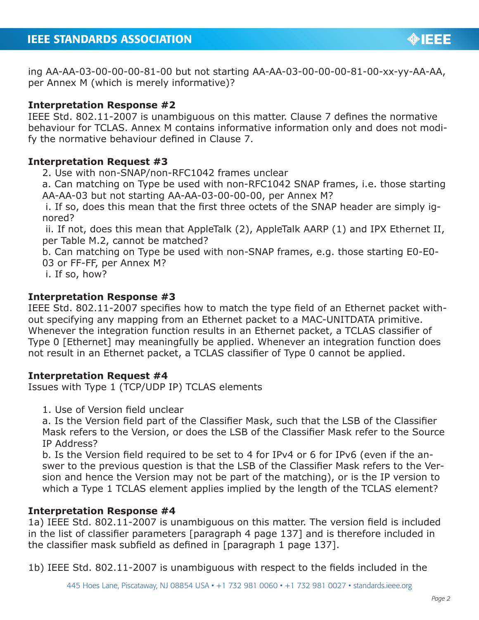ing AA-AA-03-00-00-00-81-00 but not starting AA-AA-03-00-00-00-81-00-xx-yy-AA-AA, per Annex M (which is merely informative)?

## **Interpretation Response #2**

IEEE Std. 802.11-2007 is unambiguous on this matter. Clause 7 defines the normative behaviour for TCLAS. Annex M contains informative information only and does not modify the normative behaviour defined in Clause 7.

## **Interpretation Request #3**

2. Use with non-SNAP/non-RFC1042 frames unclear

a. Can matching on Type be used with non-RFC1042 SNAP frames, i.e. those starting AA-AA-03 but not starting AA-AA-03-00-00-00, per Annex M?

 i. If so, does this mean that the first three octets of the SNAP header are simply ignored?

 ii. If not, does this mean that AppleTalk (2), AppleTalk AARP (1) and IPX Ethernet II, per Table M.2, cannot be matched?

b. Can matching on Type be used with non-SNAP frames, e.g. those starting E0-E0- 03 or FF-FF, per Annex M?

i. If so, how?

## **Interpretation Response #3**

IEEE Std. 802.11-2007 specifies how to match the type field of an Ethernet packet without specifying any mapping from an Ethernet packet to a MAC-UNITDATA primitive. Whenever the integration function results in an Ethernet packet, a TCLAS classifier of Type 0 [Ethernet] may meaningfully be applied. Whenever an integration function does not result in an Ethernet packet, a TCLAS classifier of Type 0 cannot be applied.

## **Interpretation Request #4**

Issues with Type 1 (TCP/UDP IP) TCLAS elements

1. Use of Version field unclear

a. Is the Version field part of the Classifier Mask, such that the LSB of the Classifier Mask refers to the Version, or does the LSB of the Classifier Mask refer to the Source IP Address?

b. Is the Version field required to be set to 4 for IPv4 or 6 for IPv6 (even if the answer to the previous question is that the LSB of the Classifier Mask refers to the Version and hence the Version may not be part of the matching), or is the IP version to which a Type 1 TCLAS element applies implied by the length of the TCLAS element?

# **Interpretation Response #4**

1a) IEEE Std. 802.11-2007 is unambiguous on this matter. The version field is included in the list of classifier parameters [paragraph 4 page 137] and is therefore included in the classifier mask subfield as defined in [paragraph 1 page 137].

1b) IEEE Std. 802.11-2007 is unambiguous with respect to the fields included in the

**OBJECT**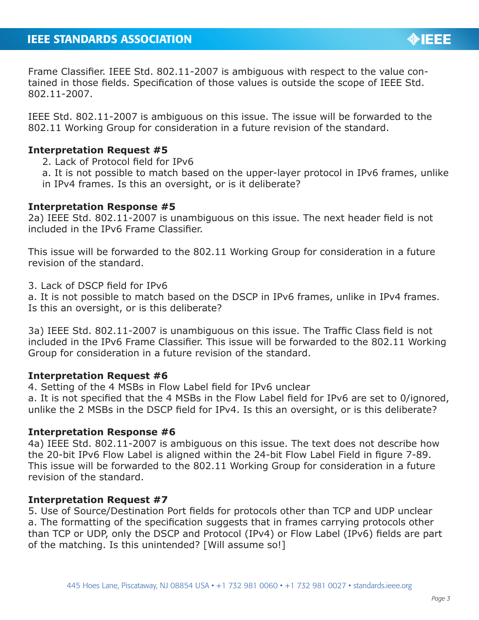Frame Classifier. IEEE Std. 802.11-2007 is ambiguous with respect to the value contained in those fields. Specification of those values is outside the scope of IEEE Std. 802.11-2007.

IEEE Std. 802.11-2007 is ambiguous on this issue. The issue will be forwarded to the 802.11 Working Group for consideration in a future revision of the standard.

## **Interpretation Request #5**

- 2. Lack of Protocol field for IPv6
- a. It is not possible to match based on the upper-layer protocol in IPv6 frames, unlike
- in IPv4 frames. Is this an oversight, or is it deliberate?

#### **Interpretation Response #5**

2a) IEEE Std. 802.11-2007 is unambiguous on this issue. The next header field is not included in the IPv6 Frame Classifier.

This issue will be forwarded to the 802.11 Working Group for consideration in a future revision of the standard.

3. Lack of DSCP field for IPv6

a. It is not possible to match based on the DSCP in IPv6 frames, unlike in IPv4 frames. Is this an oversight, or is this deliberate?

3a) IEEE Std. 802.11-2007 is unambiguous on this issue. The Traffic Class field is not included in the IPv6 Frame Classifier. This issue will be forwarded to the 802.11 Working Group for consideration in a future revision of the standard.

## **Interpretation Request #6**

4. Setting of the 4 MSBs in Flow Label field for IPv6 unclear

a. It is not specified that the 4 MSBs in the Flow Label field for IPv6 are set to 0/ignored, unlike the 2 MSBs in the DSCP field for IPv4. Is this an oversight, or is this deliberate?

## **Interpretation Response #6**

4a) IEEE Std. 802.11-2007 is ambiguous on this issue. The text does not describe how the 20-bit IPv6 Flow Label is aligned within the 24-bit Flow Label Field in figure 7-89. This issue will be forwarded to the 802.11 Working Group for consideration in a future revision of the standard.

## **Interpretation Request #7**

5. Use of Source/Destination Port fields for protocols other than TCP and UDP unclear a. The formatting of the specification suggests that in frames carrying protocols other than TCP or UDP, only the DSCP and Protocol (IPv4) or Flow Label (IPv6) fields are part of the matching. Is this unintended? [Will assume so!]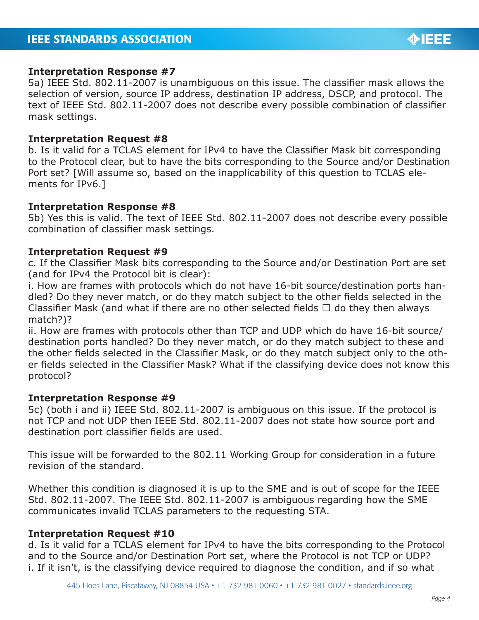#### **Interpretation Response #7**

5a) IEEE Std. 802.11-2007 is unambiguous on this issue. The classifier mask allows the selection of version, source IP address, destination IP address, DSCP, and protocol. The text of IEEE Std. 802.11-2007 does not describe every possible combination of classifier mask settings.

#### **Interpretation Request #8**

b. Is it valid for a TCLAS element for IPv4 to have the Classifier Mask bit corresponding to the Protocol clear, but to have the bits corresponding to the Source and/or Destination Port set? [Will assume so, based on the inapplicability of this question to TCLAS elements for IPv6.]

#### **Interpretation Response #8**

5b) Yes this is valid. The text of IEEE Std. 802.11-2007 does not describe every possible combination of classifier mask settings.

#### **Interpretation Request #9**

c. If the Classifier Mask bits corresponding to the Source and/or Destination Port are set (and for IPv4 the Protocol bit is clear):

i. How are frames with protocols which do not have 16-bit source/destination ports handled? Do they never match, or do they match subject to the other fields selected in the Classifier Mask (and what if there are no other selected fields  $\Box$  do they then always match?)?

ii. How are frames with protocols other than TCP and UDP which do have 16-bit source/ destination ports handled? Do they never match, or do they match subject to these and the other fields selected in the Classifier Mask, or do they match subject only to the other fields selected in the Classifier Mask? What if the classifying device does not know this protocol?

#### **Interpretation Response #9**

5c) (both i and ii) IEEE Std. 802.11-2007 is ambiguous on this issue. If the protocol is not TCP and not UDP then IEEE Std. 802.11-2007 does not state how source port and destination port classifier fields are used.

This issue will be forwarded to the 802.11 Working Group for consideration in a future revision of the standard.

Whether this condition is diagnosed it is up to the SME and is out of scope for the IEEE Std. 802.11-2007. The IEEE Std. 802.11-2007 is ambiguous regarding how the SME communicates invalid TCLAS parameters to the requesting STA.

#### **Interpretation Request #10**

d. Is it valid for a TCLAS element for IPv4 to have the bits corresponding to the Protocol and to the Source and/or Destination Port set, where the Protocol is not TCP or UDP? i. If it isn't, is the classifying device required to diagnose the condition, and if so what

**OIEEE**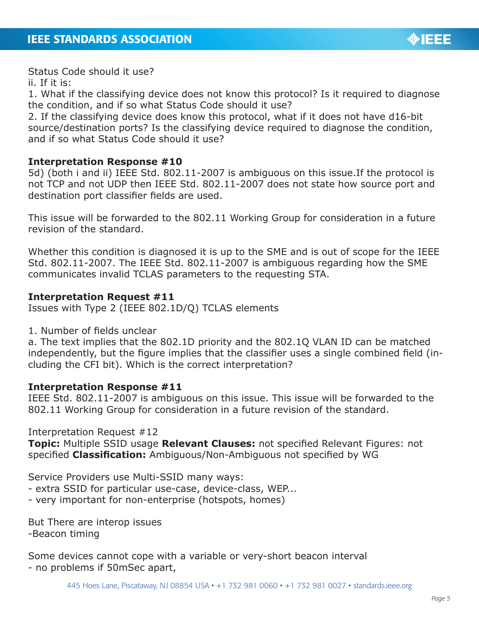

Status Code should it use?

ii. If it is:

1. What if the classifying device does not know this protocol? Is it required to diagnose the condition, and if so what Status Code should it use?

2. If the classifying device does know this protocol, what if it does not have d16-bit source/destination ports? Is the classifying device required to diagnose the condition, and if so what Status Code should it use?

# **Interpretation Response #10**

5d) (both i and ii) IEEE Std. 802.11-2007 is ambiguous on this issue.If the protocol is not TCP and not UDP then IEEE Std. 802.11-2007 does not state how source port and destination port classifier fields are used.

This issue will be forwarded to the 802.11 Working Group for consideration in a future revision of the standard.

Whether this condition is diagnosed it is up to the SME and is out of scope for the IEEE Std. 802.11-2007. The IEEE Std. 802.11-2007 is ambiguous regarding how the SME communicates invalid TCLAS parameters to the requesting STA.

## **Interpretation Request #11**

Issues with Type 2 (IEEE 802.1D/Q) TCLAS elements

1. Number of fields unclear

a. The text implies that the 802.1D priority and the 802.1Q VLAN ID can be matched independently, but the figure implies that the classifier uses a single combined field (including the CFI bit). Which is the correct interpretation?

# **Interpretation Response #11**

IEEE Std. 802.11-2007 is ambiguous on this issue. This issue will be forwarded to the 802.11 Working Group for consideration in a future revision of the standard.

Interpretation Request #12

**Topic:** Multiple SSID usage **Relevant Clauses:** not specified Relevant Figures: not specified **Classification:** Ambiguous/Non-Ambiguous not specified by WG

Service Providers use Multi-SSID many ways:

- extra SSID for particular use-case, device-class, WEP...
- very important for non-enterprise (hotspots, homes)

But There are interop issues -Beacon timing

Some devices cannot cope with a variable or very-short beacon interval - no problems if 50mSec apart,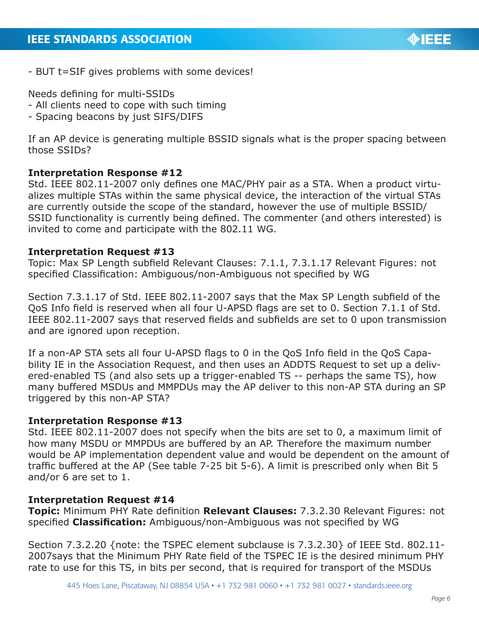- BUT t=SIF gives problems with some devices!

Needs defining for multi-SSIDs

- All clients need to cope with such timing
- Spacing beacons by just SIFS/DIFS

If an AP device is generating multiple BSSID signals what is the proper spacing between those SSIDs?

## **Interpretation Response #12**

Std. IEEE 802.11-2007 only defines one MAC/PHY pair as a STA. When a product virtualizes multiple STAs within the same physical device, the interaction of the virtual STAs are currently outside the scope of the standard, however the use of multiple BSSID/ SSID functionality is currently being defined. The commenter (and others interested) is invited to come and participate with the 802.11 WG.

## **Interpretation Request #13**

Topic: Max SP Length subfield Relevant Clauses: 7.1.1, 7.3.1.17 Relevant Figures: not specified Classification: Ambiguous/non-Ambiguous not specified by WG

Section 7.3.1.17 of Std. IEEE 802.11-2007 says that the Max SP Length subfield of the QoS Info field is reserved when all four U-APSD flags are set to 0. Section 7.1.1 of Std. IEEE 802.11-2007 says that reserved fields and subfields are set to 0 upon transmission and are ignored upon reception.

If a non-AP STA sets all four U-APSD flags to 0 in the QoS Info field in the QoS Capability IE in the Association Request, and then uses an ADDTS Request to set up a delivered-enabled TS (and also sets up a trigger-enabled TS -- perhaps the same TS), how many buffered MSDUs and MMPDUs may the AP deliver to this non-AP STA during an SP triggered by this non-AP STA?

## **Interpretation Response #13**

Std. IEEE 802.11-2007 does not specify when the bits are set to 0, a maximum limit of how many MSDU or MMPDUs are buffered by an AP. Therefore the maximum number would be AP implementation dependent value and would be dependent on the amount of traffic buffered at the AP (See table 7-25 bit 5-6). A limit is prescribed only when Bit 5 and/or 6 are set to 1.

## **Interpretation Request #14**

**Topic:** Minimum PHY Rate definition **Relevant Clauses:** 7.3.2.30 Relevant Figures: not specified **Classification:** Ambiguous/non-Ambiguous was not specified by WG

Section 7.3.2.20 {note: the TSPEC element subclause is 7.3.2.30} of IEEE Std. 802.11- 2007says that the Minimum PHY Rate field of the TSPEC IE is the desired minimum PHY rate to use for this TS, in bits per second, that is required for transport of the MSDUs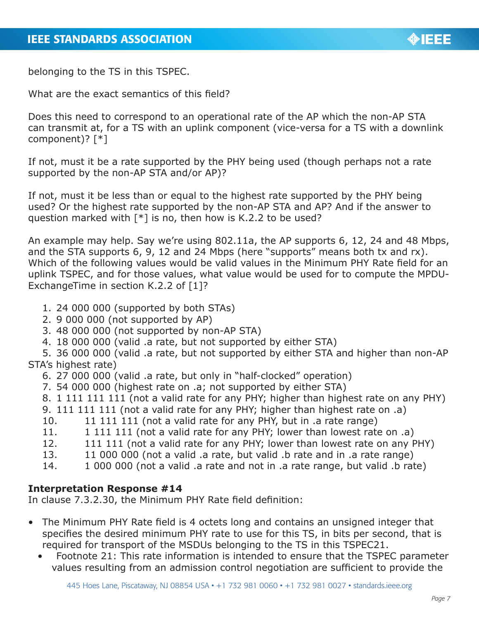belonging to the TS in this TSPEC.

What are the exact semantics of this field?

Does this need to correspond to an operational rate of the AP which the non-AP STA can transmit at, for a TS with an uplink component (vice-versa for a TS with a downlink component)? [\*]

If not, must it be a rate supported by the PHY being used (though perhaps not a rate supported by the non-AP STA and/or AP)?

If not, must it be less than or equal to the highest rate supported by the PHY being used? Or the highest rate supported by the non-AP STA and AP? And if the answer to question marked with  $\lceil * \rceil$  is no, then how is K.2.2 to be used?

An example may help. Say we're using 802.11a, the AP supports 6, 12, 24 and 48 Mbps, and the STA supports 6, 9, 12 and 24 Mbps (here "supports" means both tx and rx). Which of the following values would be valid values in the Minimum PHY Rate field for an uplink TSPEC, and for those values, what value would be used for to compute the MPDU-ExchangeTime in section K.2.2 of [1]?

- 1. 24 000 000 (supported by both STAs)
- 2. 9 000 000 (not supported by AP)
- 3. 48 000 000 (not supported by non-AP STA)
- 4. 18 000 000 (valid .a rate, but not supported by either STA)

5. 36 000 000 (valid .a rate, but not supported by either STA and higher than non-AP STA's highest rate)

- 6. 27 000 000 (valid .a rate, but only in "half-clocked" operation)
- 7. 54 000 000 (highest rate on .a; not supported by either STA)
- 8. 1 111 111 111 (not a valid rate for any PHY; higher than highest rate on any PHY)
- 9. 111 111 111 (not a valid rate for any PHY; higher than highest rate on .a)
- 10. 11 111 111 (not a valid rate for any PHY, but in .a rate range)
- 11. 111 111 (not a valid rate for any PHY; lower than lowest rate on .a)
- 12. 111 111 (not a valid rate for any PHY; lower than lowest rate on any PHY)
- 13. 11 000 000 (not a valid .a rate, but valid .b rate and in .a rate range)
- 14. 1 000 000 (not a valid .a rate and not in .a rate range, but valid .b rate)

# **Interpretation Response #14**

In clause 7.3.2.30, the Minimum PHY Rate field definition:

- The Minimum PHY Rate field is 4 octets long and contains an unsigned integer that specifies the desired minimum PHY rate to use for this TS, in bits per second, that is required for transport of the MSDUs belonging to the TS in this TSPEC21.
	- Footnote 21: This rate information is intended to ensure that the TSPEC parameter values resulting from an admission control negotiation are sufficient to provide the